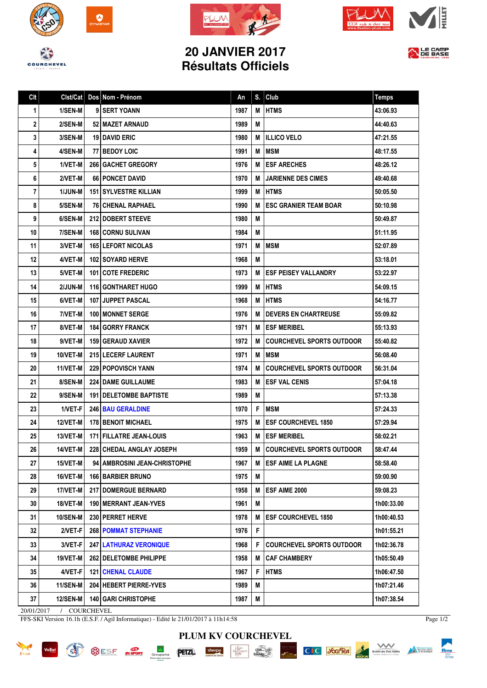







## **20 JANVIER 2017 Résultats Officiels**



| Clt | Clst/Cat        | Dos Nom - Prénom                | An   | S. | Club                             | <b>Temps</b> |
|-----|-----------------|---------------------------------|------|----|----------------------------------|--------------|
| 1   | 1/SEN-M         | 9 SERT YOANN                    | 1987 | M  | <b>HTMS</b>                      | 43:06.93     |
| 2   | 2/SEN-M         | 52   MAZET ARNAUD               | 1989 | M  |                                  | 44:40.63     |
| 3   | 3/SEN-M         | <b>19 DAVID ERIC</b>            | 1980 | М  | <b>ILLICO VELO</b>               | 47:21.55     |
| 4   | 4/SEN-M         | <b>77 BEDOY LOIC</b>            | 1991 | M  | <b>IMSM</b>                      | 48:17.55     |
| 5   | 1/VET-M         | <b>266 GACHET GREGORY</b>       | 1976 | M  | <b>ESF ARECHES</b>               | 48:26.12     |
| 6   | 2/VET-M         | 66 PONCET DAVID                 | 1970 | M  | <b>JARIENNE DES CIMES</b>        | 49:40.68     |
| 7   | 1/JUN-M         | <b>151 I SYLVESTRE KILLIAN</b>  | 1999 | М  | <b>I HTMS</b>                    | 50:05.50     |
| 8   | 5/SEN-M         | <b>76 CHENAL RAPHAEL</b>        | 1990 | м  | <b>ESC GRANIER TEAM BOAR</b>     | 50:10.98     |
| 9   | 6/SEN-M         | <b>212 DOBERT STEEVE</b>        | 1980 | M  |                                  | 50:49.87     |
| 10  | 7/SEN-M         | <b>168 CORNU SULIVAN</b>        | 1984 | М  |                                  | 51:11.95     |
| 11  | 3/VET-M         | <b>165 LEFORT NICOLAS</b>       | 1971 | M  | <b>MSM</b>                       | 52:07.89     |
| 12  | 4/VET-M         | 102 SOYARD HERVE                | 1968 | M  |                                  | 53:18.01     |
| 13  | 5/VET-M         | 101 COTE FREDERIC               | 1973 | М  | <b>ESF PEISEY VALLANDRY</b>      | 53:22.97     |
| 14  | 2/JUN-M         | <b>116 GONTHARET HUGO</b>       | 1999 | M  | <b>HTMS</b>                      | 54:09.15     |
| 15  | 6/VET-M         | 107 JUPPET PASCAL               | 1968 | M  | <b>HTMS</b>                      | 54:16.77     |
| 16  | 7/VET-M         | <b>100 I MONNET SERGE</b>       | 1976 | M  | <b>DEVERS EN CHARTREUSE</b>      | 55:09.82     |
| 17  | 8/VET-M         | <b>184   GORRY FRANCK</b>       | 1971 | M  | <b>ESF MERIBEL</b>               | 55:13.93     |
| 18  | 9/VET-M         | <b>159   GERAUD XAVIER</b>      | 1972 | M  | <b>COURCHEVEL SPORTS OUTDOOR</b> | 55:40.82     |
| 19  | 10/VET-M        | <b>215 LECERF LAURENT</b>       | 1971 | М  | I MSM                            | 56:08.40     |
| 20  | 11/VET-M        | 229 POPOVISCH YANN              | 1974 | м  | <b>COURCHEVEL SPORTS OUTDOOR</b> | 56:31.04     |
| 21  | 8/SEN-M         | <b>224   DAME GUILLAUME</b>     | 1983 | м  | <b>ESF VAL CENIS</b>             | 57:04.18     |
| 22  | 9/SEN-M         | <b>191   DELETOMBE BAPTISTE</b> | 1989 | M  |                                  | 57:13.38     |
| 23  | 1/VET-F         | <b>246 BAU GERALDINE</b>        | 1970 | F  | <b>IMSM</b>                      | 57:24.33     |
| 24  | <b>12/VET-M</b> | <b>178 BENOIT MICHAEL</b>       | 1975 | M  | <b>ESF COURCHEVEL 1850</b>       | 57:29.94     |
| 25  | 13/VET-M        | 171   FILLATRE JEAN-LOUIS       | 1963 | M  | <b>ESF MERIBEL</b>               | 58:02.21     |
| 26  | 14/VET-M        | 228 CHEDAL ANGLAY JOSEPH        | 1959 | M  | <b>COURCHEVEL SPORTS OUTDOOR</b> | 58:47.44     |
| 27  | $15/VET-M$      | 94   AMBROSINI JEAN-CHRISTOPHE  | 1967 | м  | <b>ESF AIME LA PLAGNE</b>        | 58:58.40     |
| 28  | 16/VET-M        | <b>166 BARBIER BRUNO</b>        | 1975 | M  |                                  | 59:00.90     |
| 29  | 17/VET-M        | <b>217 I DOMERGUE BERNARD</b>   | 1958 | M  | ESF AIME 2000                    | 59:08.23     |
| 30  | 18/VET-M        | <b>190   MERRANT JEAN-YVES</b>  | 1961 | Μ  |                                  | 1h00:33.00   |
| 31  | <b>10/SEN-M</b> | 230 PERRET HERVE                | 1978 | M  | <b>ESF COURCHEVEL 1850</b>       | 1h00:40.53   |
| 32  | 2/VET-F         | <b>268   POMMAT STEPHANIE</b>   | 1976 | F  |                                  | 1h01:55.21   |
| 33  | 3/VET-F         | <b>247   LATHURAZ VERONIQUE</b> | 1968 | F  | <b>COURCHEVEL SPORTS OUTDOOR</b> | 1h02:36.78   |
| 34  | 19/VET-M        | 262   DELETOMBE PHILIPPE        | 1958 | м  | <b>CAF CHAMBERY</b>              | 1h05:50.49   |
| 35  | 4/VET-F         | <b>121   CHENAL CLAUDE</b>      | 1967 | F  | <b>HTMS</b>                      | 1h06:47.50   |
| 36  | 11/SEN-M        | 204 HEBERT PIERRE-YVES          | 1989 | M  |                                  | 1h07:21.46   |
| 37  | <b>12/SEN-M</b> | <b>140   GARI CHRISTOPHE</b>    | 1987 | M  |                                  | 1h07:38.54   |

20/01/2017 / COURCHEVEL

FFS-SKI Version 16.1h (E.S.F. / Agil Informatique) - Edité le 21/01/2017 à 11h14:58





ffme

Material francaise

**PLUM KV COURCHEVEL**  $\begin{array}{|c|c|c|c|c|c|c|c|c|} \hline \text{sharp} & \text{gauge} & \text{gauge} & \text{CIC} & \text{JGc1} \\ \hline \end{array}$